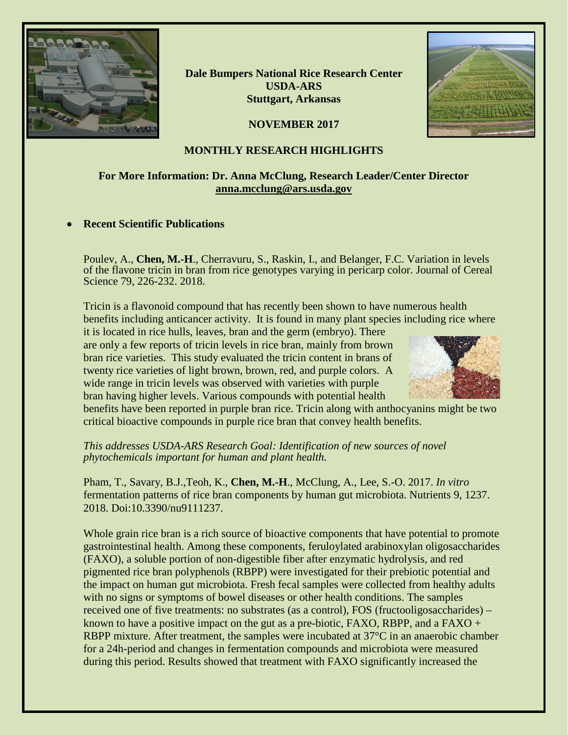

**Dale Bumpers National Rice Research Center USDA-ARS Stuttgart, Arkansas**

**NOVEMBER 2017**



## **MONTHLY RESEARCH HIGHLIGHTS**

# **For More Information: Dr. Anna McClung, Research Leader/Center Director [anna.mcclung@ars.usda.gov](mailto:anna.mcclung@ars.usda.gov)**

#### • **Recent Scientific Publications**

Poulev, A., **Chen, M.-H**., Cherravuru, S., Raskin, I., and Belanger, F.C. Variation in levels of the flavone tricin in bran from rice genotypes varying in pericarp color. Journal of Cereal Science 79, 226-232. 2018.

Tricin is a flavonoid compound that has recently been shown to have numerous health benefits including anticancer activity. It is found in many plant species including rice where it is located in rice hulls, leaves, bran and the germ (embryo). There

are only a few reports of tricin levels in rice bran, mainly from brown bran rice varieties. This study evaluated the tricin content in brans of twenty rice varieties of light brown, brown, red, and purple colors. A wide range in tricin levels was observed with varieties with purple bran having higher levels. Various compounds with potential health



benefits have been reported in purple bran rice. Tricin along with anthocyanins might be two critical bioactive compounds in purple rice bran that convey health benefits.

*This addresses USDA-ARS Research Goal: Identification of new sources of novel phytochemicals important for human and plant health.*

Pham, T., Savary, B.J.,Teoh, K., **Chen, M.-H**., McClung, A., Lee, S.-O. 2017. *In vitro* fermentation patterns of rice bran components by human gut microbiota. Nutrients 9, 1237. 2018. Doi:10.3390/nu9111237.

Whole grain rice bran is a rich source of bioactive components that have potential to promote gastrointestinal health. Among these components, feruloylated arabinoxylan oligosaccharides (FAXO), a soluble portion of non-digestible fiber after enzymatic hydrolysis, and red pigmented rice bran polyphenols (RBPP) were investigated for their prebiotic potential and the impact on human gut microbiota. Fresh fecal samples were collected from healthy adults with no signs or symptoms of bowel diseases or other health conditions. The samples received one of five treatments: no substrates (as a control), FOS (fructooligosaccharides) – known to have a positive impact on the gut as a pre-biotic,  $FAXO$ ,  $RBPP$ , and a  $FAXO +$ RBPP mixture. After treatment, the samples were incubated at 37°C in an anaerobic chamber for a 24h-period and changes in fermentation compounds and microbiota were measured during this period. Results showed that treatment with FAXO significantly increased the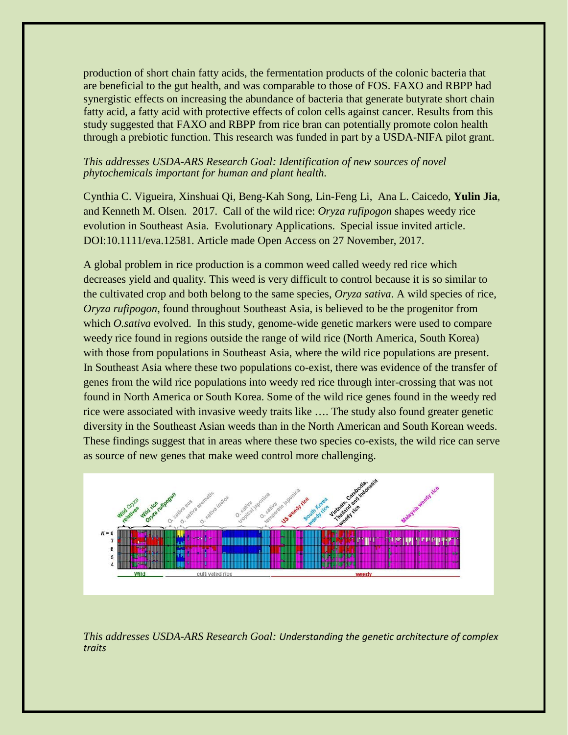production of short chain fatty acids, the fermentation products of the colonic bacteria that are beneficial to the gut health, and was comparable to those of FOS. FAXO and RBPP had synergistic effects on increasing the abundance of bacteria that generate butyrate short chain fatty acid, a fatty acid with protective effects of colon cells against cancer. Results from this study suggested that FAXO and RBPP from rice bran can potentially promote colon health through a prebiotic function. This research was funded in part by a USDA-NIFA pilot grant.

#### *This addresses USDA-ARS Research Goal: Identification of new sources of novel phytochemicals important for human and plant health.*

Cynthia C. Vigueira, Xinshuai Qi, Beng-Kah Song, Lin-Feng Li, Ana L. Caicedo, **Yulin Jia**, and Kenneth M. Olsen. 2017. Call of the wild rice: *Oryza rufipogon* shapes weedy rice evolution in Southeast Asia. Evolutionary Applications. Special issue invited article. DOI:10.1111/eva.12581. Article made Open Access on 27 November, 2017.

A global problem in rice production is a common weed called weedy red rice which decreases yield and quality. This weed is very difficult to control because it is so similar to the cultivated crop and both belong to the same species, *Oryza sativa*. A wild species of rice, *Oryza rufipogon*, found throughout Southeast Asia, is believed to be the progenitor from which *O.sativa* evolved. In this study, genome-wide genetic markers were used to compare weedy rice found in regions outside the range of wild rice (North America, South Korea) with those from populations in Southeast Asia, where the wild rice populations are present. In Southeast Asia where these two populations co-exist, there was evidence of the transfer of genes from the wild rice populations into weedy red rice through inter-crossing that was not found in North America or South Korea. Some of the wild rice genes found in the weedy red rice were associated with invasive weedy traits like …. The study also found greater genetic diversity in the Southeast Asian weeds than in the North American and South Korean weeds. These findings suggest that in areas where these two species co-exists, the wild rice can serve as source of new genes that make weed control more challenging.



*This addresses USDA-ARS Research Goal: Understanding the genetic architecture of complex traits*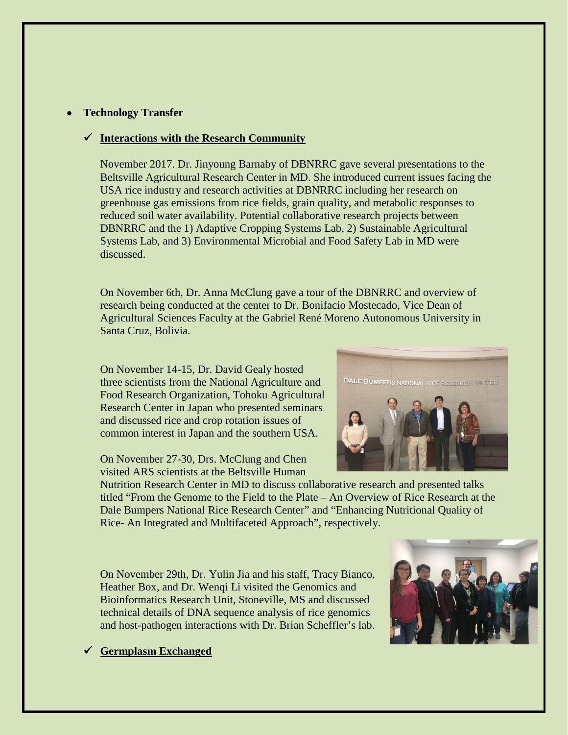## • **Technology Transfer**

## **Interactions with the Research Community**

November 2017. Dr. Jinyoung Barnaby of DBNRRC gave several presentations to the Beltsville Agricultural Research Center in MD. She introduced current issues facing the USA rice industry and research activities at DBNRRC including her research on greenhouse gas emissions from rice fields, grain quality, and metabolic responses to reduced soil water availability. Potential collaborative research projects between DBNRRC and the 1) Adaptive Cropping Systems Lab, 2) Sustainable Agricultural Systems Lab, and 3) Environmental Microbial and Food Safety Lab in MD were discussed.

On November 6th, Dr. Anna McClung gave a tour of the DBNRRC and overview of research being conducted at the center to Dr. Bonifacio Mostecado, Vice Dean of Agricultural Sciences Faculty at the Gabriel René Moreno Autonomous University in Santa Cruz, Bolivia.

On November 14-15, Dr. David Gealy hosted three scientists from the National Agriculture and Food Research Organization, Tohoku Agricultural Research Center in Japan who presented seminars and discussed rice and crop rotation issues of common interest in Japan and the southern USA.

On November 27-30, Drs. McClung and Chen visited ARS scientists at the Beltsville Human

Nutrition Research Center in MD to discuss collaborative research and presented talks titled "From the Genome to the Field to the Plate – An Overview of Rice Research at the Dale Bumpers National Rice Research Center" and "Enhancing Nutritional Quality of Rice- An Integrated and Multifaceted Approach", respectively.

On November 29th, Dr. Yulin Jia and his staff, Tracy Bianco, Heather Box, and Dr. Wenqi Li visited the Genomics and Bioinformatics Research Unit, Stoneville, MS and discussed technical details of DNA sequence analysis of rice genomics and host-pathogen interactions with Dr. Brian Scheffler's lab.



**Germplasm Exchanged**

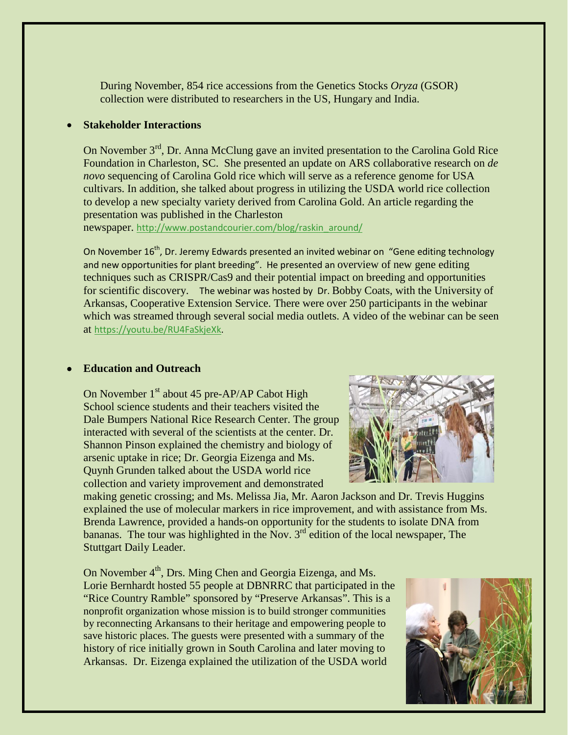During November, 854 rice accessions from the Genetics Stocks *Oryza* (GSOR) collection were distributed to researchers in the US, Hungary and India.

### • **Stakeholder Interactions**

On November 3<sup>rd</sup>, Dr. Anna McClung gave an invited presentation to the Carolina Gold Rice Foundation in Charleston, SC. She presented an update on ARS collaborative research on *de novo* sequencing of Carolina Gold rice which will serve as a reference genome for USA cultivars. In addition, she talked about progress in utilizing the USDA world rice collection to develop a new specialty variety derived from Carolina Gold. An article regarding the presentation was published in the Charleston

newspaper. [http://www.postandcourier.com/blog/raskin\\_around/](http://www.postandcourier.com/blog/raskin_around/)

On November 16<sup>th</sup>, Dr. Jeremy Edwards presented an invited webinar on "Gene editing technology and new opportunities for plant breeding". He presented an overview of new gene editing techniques such as CRISPR/Cas9 and their potential impact on breeding and opportunities for scientific discovery. The webinar was hosted by Dr. Bobby Coats, with the University of Arkansas, Cooperative Extension Service. There were over 250 participants in the webinar which was streamed through several social media outlets. A video of the webinar can be seen at [https://youtu.be/RU4FaSkjeXk.](https://urldefense.proofpoint.com/v2/url?u=https-3A__youtu.be_RU4FaSkjeXk&d=DwMFAg&c=7ypwAowFJ8v-mw8AB-SdSueVQgSDL4HiiSaLK01W8HA&r=tEhsVj5ah9HwL55ETRzT8A&m=UXSNb_tKjSGg6rGpaJbBPm_n6bcrZ_MAH2wxm3HCza4&s=Z_8PbWDJTBKrpzIVxGoyB0rMObCHTTAb8t5RBOXsjHE&e=)

#### • **Education and Outreach**

On November 1<sup>st</sup> about 45 pre-AP/AP Cabot High School science students and their teachers visited the Dale Bumpers National Rice Research Center. The group interacted with several of the scientists at the center. Dr. Shannon Pinson explained the chemistry and biology of arsenic uptake in rice; Dr. Georgia Eizenga and Ms. Quynh Grunden talked about the USDA world rice collection and variety improvement and demonstrated



making genetic crossing; and Ms. Melissa Jia, Mr. Aaron Jackson and Dr. Trevis Huggins explained the use of molecular markers in rice improvement, and with assistance from Ms. Brenda Lawrence, provided a hands-on opportunity for the students to isolate DNA from bananas. The tour was highlighted in the Nov.  $3<sup>rd</sup>$  edition of the local newspaper, The Stuttgart Daily Leader.

On November 4<sup>th</sup>, Drs. Ming Chen and Georgia Eizenga, and Ms. Lorie Bernhardt hosted 55 people at DBNRRC that participated in the "Rice Country Ramble" sponsored by "Preserve Arkansas". This is a nonprofit organization whose mission is to build stronger communities by reconnecting Arkansans to their heritage and empowering people to save historic places. The guests were presented with a summary of the history of rice initially grown in South Carolina and later moving to Arkansas. Dr. Eizenga explained the utilization of the USDA world